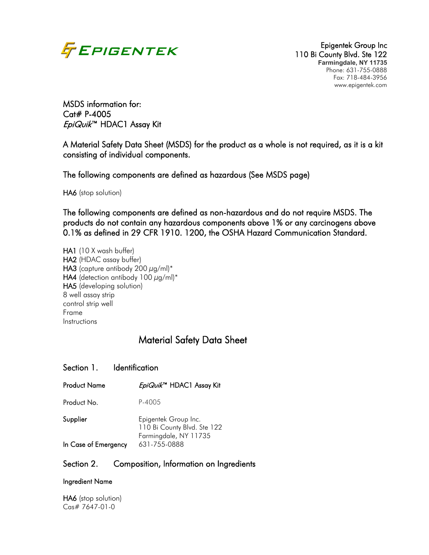

110 Bi County Blvd. Ste 122 **Farmingdale, NY 11735** Phone: 631-755-0888 Fax: 718-484-3956 www.epigentek.com

MSDS information for: Cat# P-4005 EpiQuik™ HDAC1 Assay Kit

A Material Safety Data Sheet (MSDS) for the product as a whole is not required, as it is a kit consisting of individual components.

The following components are defined as hazardous (See MSDS page)

HA6 (stop solution)

The following components are defined as non-hazardous and do not require MSDS. The products do not contain any hazardous components above 1% or any carcinogens above 0.1% as defined in 29 CFR 1910. 1200, the OSHA Hazard Communication Standard.

HA1 (10 X wash buffer) HA2 (HDAC assay buffer) **HA3** (capture antibody 200  $\mu$ g/ml)\* HA4 (detection antibody 100  $\mu$ g/ml)\* HA5 (developing solution) 8 well assay strip control strip well Frame Instructions

# Material Safety Data Sheet

#### Section 1. Identification

| Product Name         | EpiQuik <sup>™</sup> HDAC1 Assay Kit                                         |
|----------------------|------------------------------------------------------------------------------|
| Product No.          | P-4005                                                                       |
| Supplier             | Epigentek Group Inc.<br>110 Bi County Blvd. Ste 122<br>Farmingdale, NY 11735 |
| In Case of Emergency | 631-755-0888                                                                 |

#### Section 2. Composition, Information on Ingredients

#### Ingredient Name

HA6 (stop solution) Cas# 7647-01-0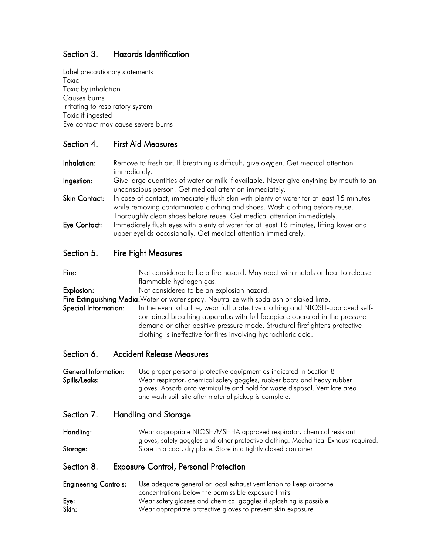# Section 3. Hazards Identification

Label precautionary statements Toxic Toxic by inhalation Causes burns Irritating to respiratory system Toxic if ingested Eye contact may cause severe burns

# Section 4. First Aid Measures

Inhalation: Remove to fresh air. If breathing is difficult, give oxygen. Get medical attention immediately. **Ingestion:** Give large quantities of water or milk if available. Never give anything by mouth to an unconscious person. Get medical attention immediately. Skin Contact: In case of contact, immediately flush skin with plenty of water for at least 15 minutes while removing contaminated clothing and shoes. Wash clothing before reuse.

Thoroughly clean shoes before reuse. Get medical attention immediately. Eye Contact: Immediately flush eyes with plenty of water for at least 15 minutes, lifting lower and

upper eyelids occasionally. Get medical attention immediately.

### Section 5. Fire Fight Measures

Fire: Not considered to be a fire hazard. May react with metals or heat to release flammable hydrogen gas.

Explosion: Not considered to be an explosion hazard.

Fire Extinguishing Media: Water or water spray. Neutralize with soda ash or slaked lime.

Special Information: In the event of a fire, wear full protective clothing and NIOSH-approved selfcontained breathing apparatus with full facepiece operated in the pressure demand or other positive pressure mode. Structural firefighter's protective clothing is ineffective for fires involving hydrochloric acid.

### Section 6. Accident Release Measures

General Information: Use proper personal protective equipment as indicated in Section 8 Spills/Leaks: Wear respirator, chemical safety goggles, rubber boots and heavy rubber gloves. Absorb onto vermiculite and hold for waste disposal. Ventilate area and wash spill site after material pickup is complete.

### Section 7. Handling and Storage

Handling: Wear appropriate NIOSH/MSHHA approved respirator, chemical resistant gloves, safety goggles and other protective clothing. Mechanical Exhaust required. Storage: Store in a cool, dry place. Store in a tightly closed container

### Section 8. Exposure Control, Personal Protection

Engineering Controls: Use adequate general or local exhaust ventilation to keep airborne concentrations below the permissible exposure limits Eye: Wear safety glasses and chemical goggles if splashing is possible Skin: Wear appropriate protective gloves to prevent skin exposure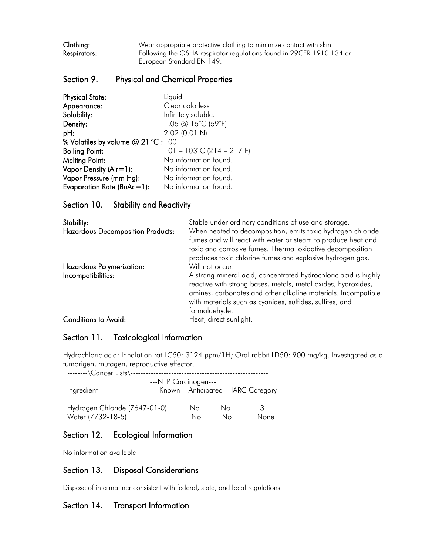Clothing: Wear appropriate protective clothing to minimize contact with skin Respirators: Following the OSHA respirator regulations found in 29CFR 1910.134 or European Standard EN 149.

#### Section 9. Physical and Chemical Properties

| <b>Physical State:</b>           | Liquid                                         |
|----------------------------------|------------------------------------------------|
| Appearance:                      | Clear colorless                                |
| Solubility:                      | Infinitely soluble.                            |
| Density:                         | 1.05 @ 15°C (59°F)                             |
| pH:                              | 2.02 (0.01 N)                                  |
| % Volatiles by volume @ 21°C:100 |                                                |
| <b>Boiling Point:</b>            | $101 - 103^{\circ}$ C (214 – 217 $^{\circ}$ F) |
| <b>Melting Point:</b>            | No information found.                          |
| Vapor Density (Air=1):           | No information found.                          |
| Vapor Pressure (mm Hg):          | No information found.                          |
| Evaporation Rate (BuAc=1):       | No information found.                          |

Section 10. Stability and Reactivity

| Stability:                               | Stable under ordinary conditions of use and storage.                                                                                                                                                                                                                           |
|------------------------------------------|--------------------------------------------------------------------------------------------------------------------------------------------------------------------------------------------------------------------------------------------------------------------------------|
| <b>Hazardous Decomposition Products:</b> | When heated to decomposition, emits toxic hydrogen chloride<br>fumes and will react with water or steam to produce heat and<br>toxic and corrosive fumes. Thermal oxidative decomposition                                                                                      |
|                                          | produces toxic chlorine fumes and explosive hydrogen gas.                                                                                                                                                                                                                      |
| Hazardous Polymerization:                | Will not occur.                                                                                                                                                                                                                                                                |
| Incompatibilities:                       | A strong mineral acid, concentrated hydrochloric acid is highly<br>reactive with strong bases, metals, metal oxides, hydroxides,<br>amines, carbonates and other alkaline materials. Incompatible<br>with materials such as cyanides, sulfides, sulfites, and<br>formaldehyde. |
| <b>Conditions to Avoid:</b>              | Heat, direct sunlight.                                                                                                                                                                                                                                                         |

# Section 11. Toxicological Information

Hydrochloric acid: Inhalation rat LC50: 3124 ppm/1H; Oral rabbit LD50: 900 mg/kg. Investigated as a tumorigen, mutagen, reproductive effector.

| --------\Cancer Lists\---                          |  |          |          |                                 |  |  |  |
|----------------------------------------------------|--|----------|----------|---------------------------------|--|--|--|
| ---NTP Carcinogen---                               |  |          |          |                                 |  |  |  |
| Ingredient                                         |  |          |          | Known Anticipated IARC Category |  |  |  |
| Hydrogen Chloride (7647-01-0)<br>Water (7732-18-5) |  | No<br>Nο | Nο<br>Nο | 3<br>None                       |  |  |  |

# Section 12. Ecological Information

No information available

### Section 13. Disposal Considerations

Dispose of in a manner consistent with federal, state, and local regulations

### Section 14. Transport Information